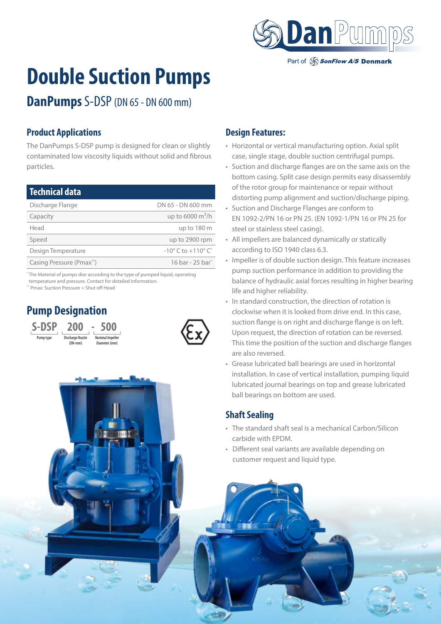

Part of SonFlow A/S Denmark

# **Double Suction Pumps**

**DanPumps** S-DSP (DN 65 - DN 600 mm)

### **Product Applications**

The DanPumps S-DSP pump is designed for clean or slightly contaminated low viscosity liquids without solid and fibrous particles.

| <b>Technical data</b>    |                                                  |
|--------------------------|--------------------------------------------------|
| Discharge Flange         | DN 65 - DN 600 mm                                |
| Capacity                 | up to 6000 $m^3/h$                               |
| Head                     | up to 180 m                                      |
| Speed                    | up to 2900 rpm                                   |
| Design Temperature       | $-10^{\circ}$ C to $+110^{\circ}$ C <sup>*</sup> |
| Casing Pressure (Pmax**) | 16 bar - 25 bar <sup>*</sup>                     |

\* The Material of pumps dier according to the type of pumped liquid, operating temperature and pressure. Contact for detailed information.

\*\* Pmax: Suction Pressure + Shut off Head

# **Pump Designation**





#### **Design Features:**

- Horizontal or vertical manufacturing option. Axial split case, single stage, double suction centrifugal pumps.
- Suction and discharge flanges are on the same axis on the bottom casing. Split case design permits easy disassembly of the rotor group for maintenance or repair without distorting pump alignment and suction/discharge piping.
- Suction and Discharge Flanges are conform to EN 1092-2/PN 16 or PN 25. (EN 1092-1/PN 16 or PN 25 for steel or stainless steel casing).
- All impellers are balanced dynamically or statically according to ISO 1940 class 6.3.
- Impeller is of double suction design. This feature increases pump suction performance in addition to providing the balance of hydraulic axial forces resulting in higher bearing life and higher reliability.
- In standard construction, the direction of rotation is clockwise when it is looked from drive end. In this case, suction flange is on right and discharge flange is on left. Upon request, the direction of rotation can be reversed. This time the position of the suction and discharge flanges are also reversed.
- Grease lubricated ball bearings are used in horizontal installation. In case of vertical installation, pumping liquid lubricated journal bearings on top and grease lubricated ball bearings on bottom are used.

### **Shaft Sealing**

- The standard shaft seal is a mechanical Carbon/Silicon carbide with EPDM.
- Different seal variants are available depending on customer request and liquid type.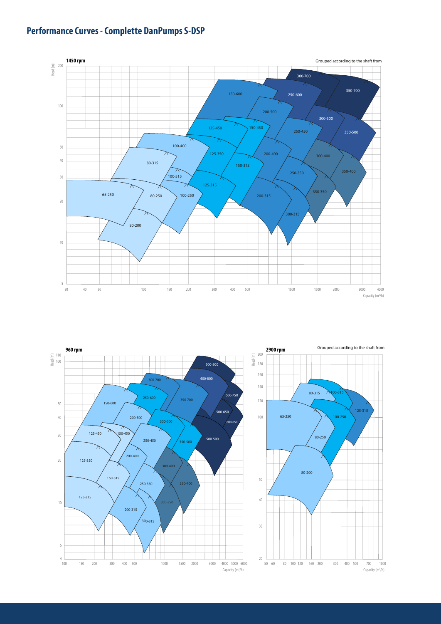# **Performance Curves - Complette DanPumps S-DSP**



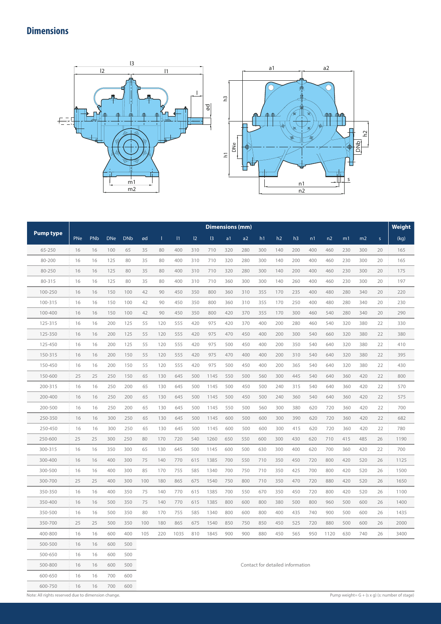# **Dimensions**





|                  |     |     |            |            |     |     |      |     |      | <b>Dimensions (mm)</b> |     |                                  |     |     |     |      |     |     |              | Weight |
|------------------|-----|-----|------------|------------|-----|-----|------|-----|------|------------------------|-----|----------------------------------|-----|-----|-----|------|-----|-----|--------------|--------|
| <b>Pump type</b> | PNe | PNb | <b>DNe</b> | <b>DNb</b> | ød  | L   | 1    | 12  | 3    | a <sub>1</sub>         | a2  | h1                               | h2  | h3  | n1  | n2   | m1  | m2  | $\mathsf{s}$ | (kq)   |
| 65-250           | 16  | 16  | 100        | 65         | 35  | 80  | 400  | 310 | 710  | 320                    | 280 | 300                              | 140 | 200 | 400 | 460  | 230 | 300 | 20           | 165    |
| 80-200           | 16  | 16  | 125        | 80         | 35  | 80  | 400  | 310 | 710  | 320                    | 280 | 300                              | 140 | 200 | 400 | 460  | 230 | 300 | 20           | 165    |
| 80-250           | 16  | 16  | 125        | 80         | 35  | 80  | 400  | 310 | 710  | 320                    | 280 | 300                              | 140 | 200 | 400 | 460  | 230 | 300 | 20           | 175    |
| 80-315           | 16  | 16  | 125        | 80         | 35  | 80  | 400  | 310 | 710  | 360                    | 300 | 300                              | 140 | 260 | 400 | 460  | 230 | 300 | 20           | 197    |
| 100-250          | 16  | 16  | 150        | 100        | 42  | 90  | 450  | 350 | 800  | 360                    | 310 | 355                              | 170 | 235 | 400 | 480  | 280 | 340 | 20           | 220    |
| 100-315          | 16  | 16  | 150        | 100        | 42  | 90  | 450  | 350 | 800  | 360                    | 310 | 355                              | 170 | 250 | 400 | 480  | 280 | 340 | 20           | 230    |
| 100-400          | 16  | 16  | 150        | 100        | 42  | 90  | 450  | 350 | 800  | 420                    | 370 | 355                              | 170 | 300 | 460 | 540  | 280 | 340 | 20           | 290    |
| 125-315          | 16  | 16  | 200        | 125        | 55  | 120 | 555  | 420 | 975  | 420                    | 370 | 400                              | 200 | 280 | 460 | 540  | 320 | 380 | 22           | 330    |
| 125-350          | 16  | 16  | 200        | 125        | 55  | 120 | 555  | 420 | 975  | 470                    | 450 | 400                              | 200 | 300 | 540 | 660  | 320 | 380 | 22           | 380    |
| 125-450          | 16  | 16  | 200        | 125        | 55  | 120 | 555  | 420 | 975  | 500                    | 450 | 400                              | 200 | 350 | 540 | 640  | 320 | 380 | 22           | 410    |
| 150-315          | 16  | 16  | 200        | 150        | 55  | 120 | 555  | 420 | 975  | 470                    | 400 | 400                              | 200 | 310 | 540 | 640  | 320 | 380 | 22           | 395    |
| 150-450          | 16  | 16  | 200        | 150        | 55  | 120 | 555  | 420 | 975  | 500                    | 450 | 400                              | 200 | 365 | 540 | 640  | 320 | 380 | 22           | 430    |
| 150-600          | 25  | 25  | 250        | 150        | 65  | 130 | 645  | 500 | 1145 | 550                    | 500 | 560                              | 300 | 445 | 540 | 640  | 360 | 420 | 22           | 800    |
| 200-315          | 16  | 16  | 250        | 200        | 65  | 130 | 645  | 500 | 1145 | 500                    | 450 | 500                              | 240 | 315 | 540 | 640  | 360 | 420 | 22           | 570    |
| 200-400          | 16  | 16  | 250        | 200        | 65  | 130 | 645  | 500 | 1145 | 500                    | 450 | 500                              | 240 | 360 | 540 | 640  | 360 | 420 | 22           | 575    |
| 200-500          | 16  | 16  | 250        | 200        | 65  | 130 | 645  | 500 | 1145 | 550                    | 500 | 560                              | 300 | 380 | 620 | 720  | 360 | 420 | 22           | 700    |
| 250-350          | 16  | 16  | 300        | 250        | 65  | 130 | 645  | 500 | 1145 | 600                    | 500 | 600                              | 300 | 390 | 620 | 720  | 360 | 420 | 22           | 682    |
| 250-450          | 16  | 16  | 300        | 250        | 65  | 130 | 645  | 500 | 1145 | 600                    | 500 | 600                              | 300 | 415 | 620 | 720  | 360 | 420 | 22           | 780    |
| 250-600          | 25  | 25  | 300        | 250        | 80  | 170 | 720  | 540 | 1260 | 650                    | 550 | 600                              | 300 | 430 | 620 | 710  | 415 | 485 | 26           | 1190   |
| 300-315          | 16  | 16  | 350        | 300        | 65  | 130 | 645  | 500 | 1145 | 600                    | 500 | 630                              | 300 | 400 | 620 | 700  | 360 | 420 | 22           | 700    |
| 300-400          | 16  | 16  | 400        | 300        | 75  | 140 | 770  | 615 | 1385 | 700                    | 550 | 710                              | 350 | 450 | 720 | 800  | 420 | 520 | 26           | 1125   |
| 300-500          | 16  | 16  | 400        | 300        | 85  | 170 | 755  | 585 | 1340 | 700                    | 750 | 710                              | 350 | 425 | 700 | 800  | 420 | 520 | 26           | 1500   |
| 300-700          | 25  | 25  | 400        | 300        | 100 | 180 | 865  | 675 | 1540 | 750                    | 800 | 710                              | 350 | 470 | 720 | 880  | 420 | 520 | 26           | 1650   |
| 350-350          | 16  | 16  | 400        | 350        | 75  | 140 | 770  | 615 | 1385 | 700                    | 550 | 670                              | 350 | 450 | 720 | 800  | 420 | 520 | 26           | 1100   |
| 350-400          | 16  | 16  | 500        | 350        | 75  | 140 | 770  | 615 | 1385 | 800                    | 600 | 800                              | 380 | 500 | 800 | 960  | 500 | 600 | 26           | 1400   |
| 350-500          | 16  | 16  | 500        | 350        | 80  | 170 | 755  | 585 | 1340 | 800                    | 600 | 800                              | 400 | 435 | 740 | 900  | 500 | 600 | 26           | 1435   |
| 350-700          | 25  | 25  | 500        | 350        | 100 | 180 | 865  | 675 | 1540 | 850                    | 750 | 850                              | 450 | 525 | 720 | 880  | 500 | 600 | 26           | 2000   |
| 400-800          | 16  | 16  | 600        | 400        | 105 | 220 | 1035 | 810 | 1845 | 900                    | 900 | 880                              | 450 | 565 | 950 | 1120 | 630 | 740 | 26           | 3400   |
| 500-500          | 16  | 16  | 600        | 500        |     |     |      |     |      |                        |     |                                  |     |     |     |      |     |     |              |        |
| 500-650          | 16  | 16  | 600        | 500        |     |     |      |     |      |                        |     |                                  |     |     |     |      |     |     |              |        |
| 500-800          | 16  | 16  | 600        | 500        |     |     |      |     |      |                        |     | Contact for detailed information |     |     |     |      |     |     |              |        |
| 600-650          | 16  | 16  | 700        | 600        |     |     |      |     |      |                        |     |                                  |     |     |     |      |     |     |              |        |

600-750 16 16 700 600